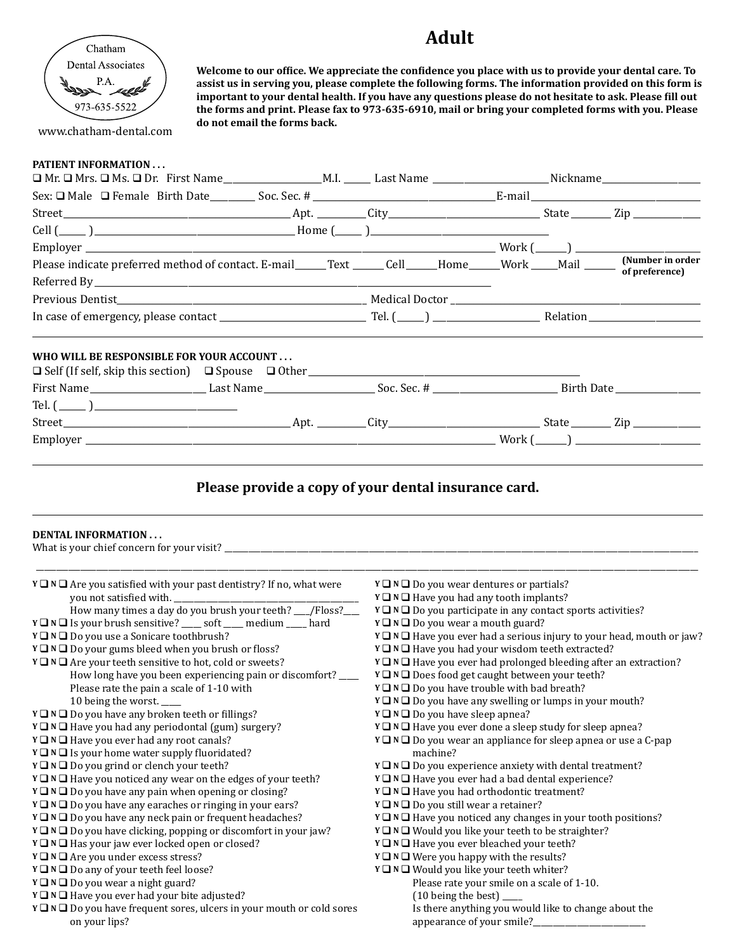## **Adult**

**Welcome to our office. We appreciate the confidence you place with us to provide your dental care. To assist us in serving you, please complete the following forms. The information provided on this form is important to your dental health. If you have any questions please do not hesitate to ask. Please fill out the forms and print. Please fax to 973-635-6910, mail or bring your completed forms with you. Please** 



www.chatham-dental.com

**do not email the forms back.**

## **PATIENT INFORMATION . . .**

| Cell $(\_\_\_\_$                                                                                                                                                                                                                                                                                                                                                                                                                                                                                                                                                                                                                                                                                                                                     |                                                                                                                                                                                                                                                                                                                                                                                                                                                                                                                                                                                                                                                                                                                                                                                                     |  |                                                                        |  |
|------------------------------------------------------------------------------------------------------------------------------------------------------------------------------------------------------------------------------------------------------------------------------------------------------------------------------------------------------------------------------------------------------------------------------------------------------------------------------------------------------------------------------------------------------------------------------------------------------------------------------------------------------------------------------------------------------------------------------------------------------|-----------------------------------------------------------------------------------------------------------------------------------------------------------------------------------------------------------------------------------------------------------------------------------------------------------------------------------------------------------------------------------------------------------------------------------------------------------------------------------------------------------------------------------------------------------------------------------------------------------------------------------------------------------------------------------------------------------------------------------------------------------------------------------------------------|--|------------------------------------------------------------------------|--|
|                                                                                                                                                                                                                                                                                                                                                                                                                                                                                                                                                                                                                                                                                                                                                      |                                                                                                                                                                                                                                                                                                                                                                                                                                                                                                                                                                                                                                                                                                                                                                                                     |  |                                                                        |  |
|                                                                                                                                                                                                                                                                                                                                                                                                                                                                                                                                                                                                                                                                                                                                                      |                                                                                                                                                                                                                                                                                                                                                                                                                                                                                                                                                                                                                                                                                                                                                                                                     |  | of preference)                                                         |  |
|                                                                                                                                                                                                                                                                                                                                                                                                                                                                                                                                                                                                                                                                                                                                                      |                                                                                                                                                                                                                                                                                                                                                                                                                                                                                                                                                                                                                                                                                                                                                                                                     |  |                                                                        |  |
|                                                                                                                                                                                                                                                                                                                                                                                                                                                                                                                                                                                                                                                                                                                                                      |                                                                                                                                                                                                                                                                                                                                                                                                                                                                                                                                                                                                                                                                                                                                                                                                     |  |                                                                        |  |
|                                                                                                                                                                                                                                                                                                                                                                                                                                                                                                                                                                                                                                                                                                                                                      |                                                                                                                                                                                                                                                                                                                                                                                                                                                                                                                                                                                                                                                                                                                                                                                                     |  |                                                                        |  |
| WHO WILL BE RESPONSIBLE FOR YOUR ACCOUNT                                                                                                                                                                                                                                                                                                                                                                                                                                                                                                                                                                                                                                                                                                             |                                                                                                                                                                                                                                                                                                                                                                                                                                                                                                                                                                                                                                                                                                                                                                                                     |  |                                                                        |  |
| $\Box$ Self (If self, skip this section) $\Box$ Spouse $\Box$ Other                                                                                                                                                                                                                                                                                                                                                                                                                                                                                                                                                                                                                                                                                  |                                                                                                                                                                                                                                                                                                                                                                                                                                                                                                                                                                                                                                                                                                                                                                                                     |  |                                                                        |  |
|                                                                                                                                                                                                                                                                                                                                                                                                                                                                                                                                                                                                                                                                                                                                                      |                                                                                                                                                                                                                                                                                                                                                                                                                                                                                                                                                                                                                                                                                                                                                                                                     |  |                                                                        |  |
| Tel. $(\_\_)$                                                                                                                                                                                                                                                                                                                                                                                                                                                                                                                                                                                                                                                                                                                                        |                                                                                                                                                                                                                                                                                                                                                                                                                                                                                                                                                                                                                                                                                                                                                                                                     |  |                                                                        |  |
|                                                                                                                                                                                                                                                                                                                                                                                                                                                                                                                                                                                                                                                                                                                                                      |                                                                                                                                                                                                                                                                                                                                                                                                                                                                                                                                                                                                                                                                                                                                                                                                     |  |                                                                        |  |
|                                                                                                                                                                                                                                                                                                                                                                                                                                                                                                                                                                                                                                                                                                                                                      |                                                                                                                                                                                                                                                                                                                                                                                                                                                                                                                                                                                                                                                                                                                                                                                                     |  |                                                                        |  |
| <b>DENTAL INFORMATION</b>                                                                                                                                                                                                                                                                                                                                                                                                                                                                                                                                                                                                                                                                                                                            |                                                                                                                                                                                                                                                                                                                                                                                                                                                                                                                                                                                                                                                                                                                                                                                                     |  |                                                                        |  |
| $Y \square N \square$ Are you satisfied with your past dentistry? If no, what were<br>Y $\Box$ N $\Box$ Is your brush sensitive? _____ soft _____ medium _____ hard<br>Y $\Box$ N $\Box$ Do you use a Sonicare toothbrush?<br>$Y \square N \square$ Do your gums bleed when you brush or floss?<br>$Y \square N \square$ Are your teeth sensitive to hot, cold or sweets?<br>How long have you been experiencing pain or discomfort? ___<br>Please rate the pain a scale of 1-10 with<br>10 being the worst.<br>Y □ N □ Do you have any broken teeth or fillings?<br>$Y \square N \square$ Have you had any periodontal (gum) surgery?<br>$Y \square N \square$ Have you ever had any root canals?<br>Y □ N □ Is your home water supply fluoridated? | $Y \square N \square$ Do you wear dentures or partials?<br>$Y \square N \square$ Have you had any tooth implants?<br>$Y \square N \square$ Do you participate in any contact sports activities?<br>$Y \square N \square$ Do you wear a mouth guard?<br>Y □ N □ Have you had your wisdom teeth extracted?<br>Y □ N □ Have you ever had prolonged bleeding after an extraction?<br>$Y \square N \square$ Does food get caught between your teeth?<br>$Y \square N \square$ Do you have trouble with bad breath?<br>$Y \square N \square$ Do you have any swelling or lumps in your mouth?<br>$Y \square N \square$ Do you have sleep apnea?<br>Y ■ N ■ Have you ever done a sleep study for sleep apnea?<br>$Y \square N \square$ Do you wear an appliance for sleep apnea or use a C-pap<br>machine? |  | Y □ N □ Have you ever had a serious injury to your head, mouth or jaw? |  |

- **Y □ N □** Do you grind or clench your teeth?
- **Y**  $\Box$  **N**  $\Box$  Have you noticed any wear on the edges of your teeth?
- **Y □ N** □ Do you have any pain when opening or closing?
- $Y \square N \square$  Do you have any earaches or ringing in your ears?
- **Y □ N □** Do you have any neck pain or frequent headaches?
- **Y □** N **□** Do you have clicking, popping or discomfort in your jaw?
- **Y**  $\Box$  **N**  $\Box$  Has your jaw ever locked open or closed?
- **Y □** N **□** Are you under excess stress?
- **Y □ N □** Do any of your teeth feel loose?
- **Y □ N** □ **Do you wear a night guard?**
- **Y**  $\Box$  **N**  $\Box$  Have you ever had your bite adjusted?
- **Y □** N **□** Do you have frequent sores, ulcers in your mouth or cold sores on your lips?
- Is there anything you would like to change about the appearance of your smile?
- **Y**  $\Box$  **N**  $\Box$  Do you experience anxiety with dental treatment?
- **Y**  $\Box$  **N**  $\Box$  Have you ever had a bad dental experience?
- **Y**  $\Box$  **N**  $\Box$  Have you had orthodontic treatment?
- **Y □ N □** Do you still wear a retainer?
- **Y**  $\Box$  **N**  $\Box$  Have you noticed any changes in your tooth positions?
- **Y □ N** □ Would you like your teeth to be straighter?
- **Y**  $\Box$  **N**  $\Box$  Have you ever bleached your teeth?
- $Y \square N \square$  Were you happy with the results?
- **Y □ N** □ Would you like your teeth whiter?
	- Please rate your smile on a scale of 1-10. (10 being the best) \_\_\_\_\_